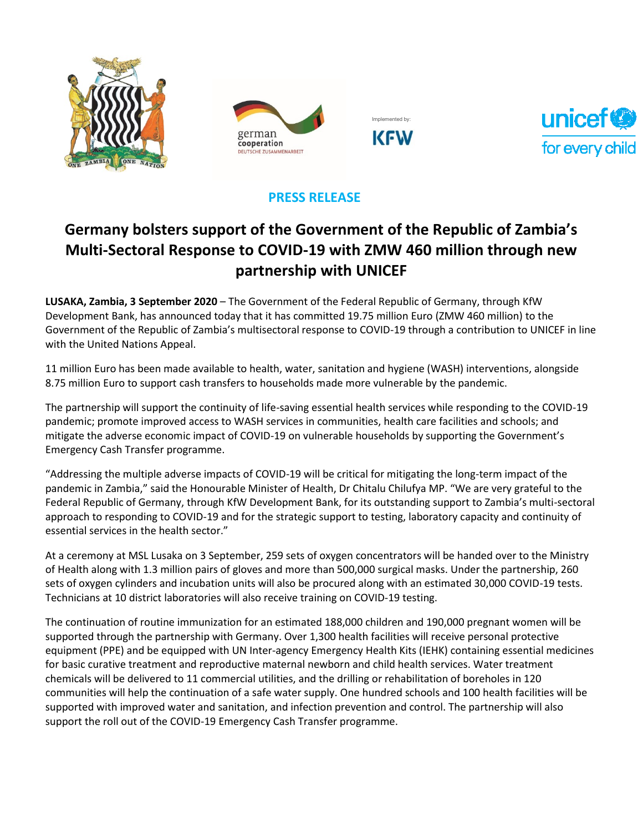







## **PRESS RELEASE**

# **Germany bolsters support of the Government of the Republic of Zambia's Multi-Sectoral Response to COVID-19 with ZMW 460 million through new partnership with UNICEF**

**LUSAKA, Zambia, 3 September 2020** – The Government of the Federal Republic of Germany, through KfW Development Bank, has announced today that it has committed 19.75 million Euro (ZMW 460 million) to the Government of the Republic of Zambia's multisectoral response to COVID-19 through a contribution to UNICEF in line with the United Nations Appeal.

11 million Euro has been made available to health, water, sanitation and hygiene (WASH) interventions, alongside 8.75 million Euro to support cash transfers to households made more vulnerable by the pandemic.

The partnership will support the continuity of life-saving essential health services while responding to the COVID-19 pandemic; promote improved access to WASH services in communities, health care facilities and schools; and mitigate the adverse economic impact of COVID-19 on vulnerable households by supporting the Government's Emergency Cash Transfer programme.

"Addressing the multiple adverse impacts of COVID-19 will be critical for mitigating the long-term impact of the pandemic in Zambia," said the Honourable Minister of Health, Dr Chitalu Chilufya MP. "We are very grateful to the Federal Republic of Germany, through KfW Development Bank, for its outstanding support to Zambia's multi-sectoral approach to responding to COVID-19 and for the strategic support to testing, laboratory capacity and continuity of essential services in the health sector."

At a ceremony at MSL Lusaka on 3 September, 259 sets of oxygen concentrators will be handed over to the Ministry of Health along with 1.3 million pairs of gloves and more than 500,000 surgical masks. Under the partnership, 260 sets of oxygen cylinders and incubation units will also be procured along with an estimated 30,000 COVID-19 tests. Technicians at 10 district laboratories will also receive training on COVID-19 testing.

The continuation of routine immunization for an estimated 188,000 children and 190,000 pregnant women will be supported through the partnership with Germany. Over 1,300 health facilities will receive personal protective equipment (PPE) and be equipped with UN Inter-agency Emergency Health Kits (IEHK) containing essential medicines for basic curative treatment and reproductive maternal newborn and child health services. Water treatment chemicals will be delivered to 11 commercial utilities, and the drilling or rehabilitation of boreholes in 120 communities will help the continuation of a safe water supply. One hundred schools and 100 health facilities will be supported with improved water and sanitation, and infection prevention and control. The partnership will also support the roll out of the COVID-19 Emergency Cash Transfer programme.